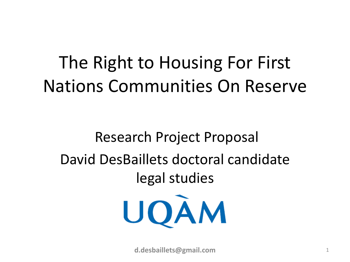#### The Right to Housing For First Nations Communities On Reserve

#### Research Project Proposal David DesBaillets doctoral candidate legal studies



**d.desbaillets@gmail.com** 1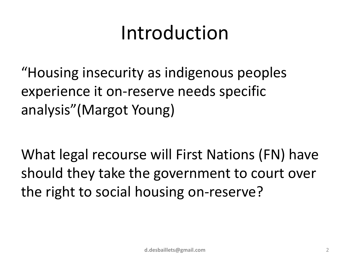#### Introduction

"Housing insecurity as indigenous peoples experience it on-reserve needs specific analysis"(Margot Young)

What legal recourse will First Nations (FN) have should they take the government to court over the right to social housing on-reserve?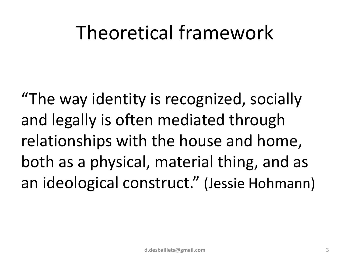#### Theoretical framework

"The way identity is recognized, socially and legally is often mediated through relationships with the house and home, both as a physical, material thing, and as an ideological construct." (Jessie Hohmann)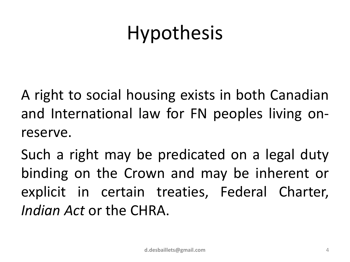## Hypothesis

A right to social housing exists in both Canadian and International law for FN peoples living onreserve.

Such a right may be predicated on a legal duty binding on the Crown and may be inherent or explicit in certain treaties, Federal Charter, *Indian Act* or the CHRA.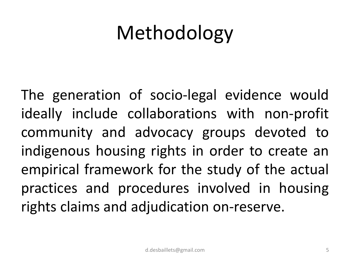## Methodology

The generation of socio-legal evidence would ideally include collaborations with non-profit community and advocacy groups devoted to indigenous housing rights in order to create an empirical framework for the study of the actual practices and procedures involved in housing rights claims and adjudication on-reserve.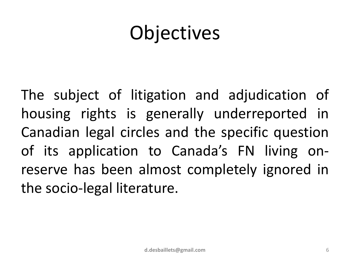## Objectives

The subject of litigation and adjudication of housing rights is generally underreported in Canadian legal circles and the specific question of its application to Canada's FN living onreserve has been almost completely ignored in the socio-legal literature.